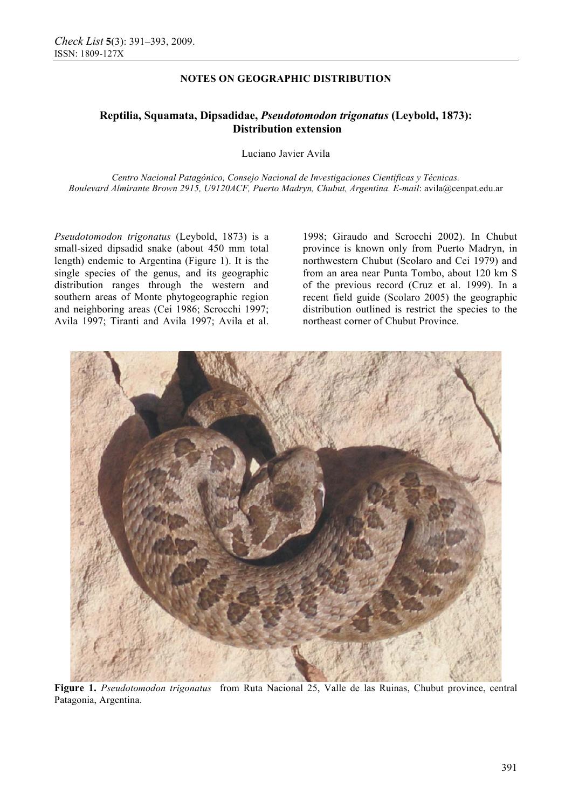## **NOTES ON GEOGRAPHIC DISTRIBUTION**

# **Reptilia, Squamata, Dipsadidae,** *Pseudotomodon trigonatus* **(Leybold, 1873): Distribution extension**

Luciano Javier Avila

*Centro Nacional Patagónico, Consejo Nacional de Investigaciones Cientificas y Técnicas. Boulevard Almirante Brown 2915, U9120ACF, Puerto Madryn, Chubut, Argentina. E-mail*: avila@cenpat.edu.ar

*Pseudotomodon trigonatus* (Leybold, 1873) is a small-sized dipsadid snake (about 450 mm total length) endemic to Argentina (Figure 1). It is the single species of the genus, and its geographic distribution ranges through the western and southern areas of Monte phytogeographic region and neighboring areas (Cei 1986; Scrocchi 1997; Avila 1997; Tiranti and Avila 1997; Avila et al.

1998; Giraudo and Scrocchi 2002). In Chubut province is known only from Puerto Madryn, in northwestern Chubut (Scolaro and Cei 1979) and from an area near Punta Tombo, about 120 km S of the previous record (Cruz et al. 1999). In a recent field guide (Scolaro 2005) the geographic distribution outlined is restrict the species to the northeast corner of Chubut Province.



**Figure 1.** *Pseudotomodon trigonatus* from Ruta Nacional 25, Valle de las Ruinas, Chubut province, central Patagonia, Argentina.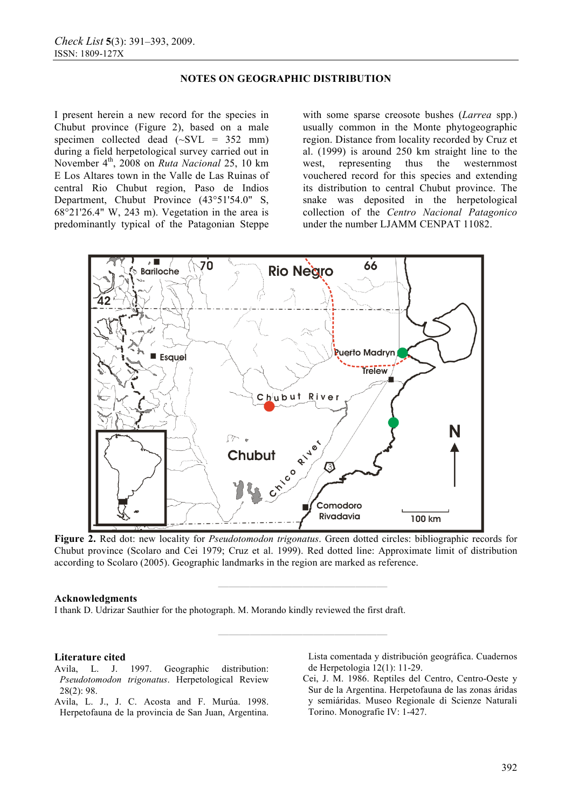### **NOTES ON GEOGRAPHIC DISTRIBUTION**

I present herein a new record for the species in Chubut province (Figure 2), based on a male specimen collected dead  $(\sim$ SVL = 352 mm) during a field herpetological survey carried out in November 4th, 2008 on *Ruta Nacional* 25, 10 km E Los Altares town in the Valle de Las Ruinas of central Rio Chubut region, Paso de Indios Department, Chubut Province (43°51'54.0" S, 68°21'26.4" W, 243 m). Vegetation in the area is predominantly typical of the Patagonian Steppe

with some sparse creosote bushes (*Larrea* spp.) usually common in the Monte phytogeographic region. Distance from locality recorded by Cruz et al. (1999) is around 250 km straight line to the west, representing thus the westernmost vouchered record for this species and extending its distribution to central Chubut province. The snake was deposited in the herpetological collection of the *Centro Nacional Patagonico* under the number LJAMM CENPAT 11082.



**Figure 2.** Red dot: new locality for *Pseudotomodon trigonatus*. Green dotted circles: bibliographic records for Chubut province (Scolaro and Cei 1979; Cruz et al. 1999). Red dotted line: Approximate limit of distribution according to Scolaro (2005). Geographic landmarks in the region are marked as reference.

**————————————————** 

**————————————————** 

#### **Acknowledgments**

I thank D. Udrizar Sauthier for the photograph. M. Morando kindly reviewed the first draft.

#### **Literature cited**

- Avila, L. J. 1997. Geographic distribution: *Pseudotomodon trigonatus*. Herpetological Review 28(2): 98.
- Avila, L. J., J. C. Acosta and F. Murúa. 1998. Herpetofauna de la provincia de San Juan, Argentina.

Lista comentada y distribución geográfica. Cuadernos de Herpetologia 12(1): 11-29.

Cei, J. M. 1986. Reptiles del Centro, Centro-Oeste y Sur de la Argentina. Herpetofauna de las zonas áridas y semiáridas. Museo Regionale di Scienze Naturali Torino. Monografie IV: 1-427.